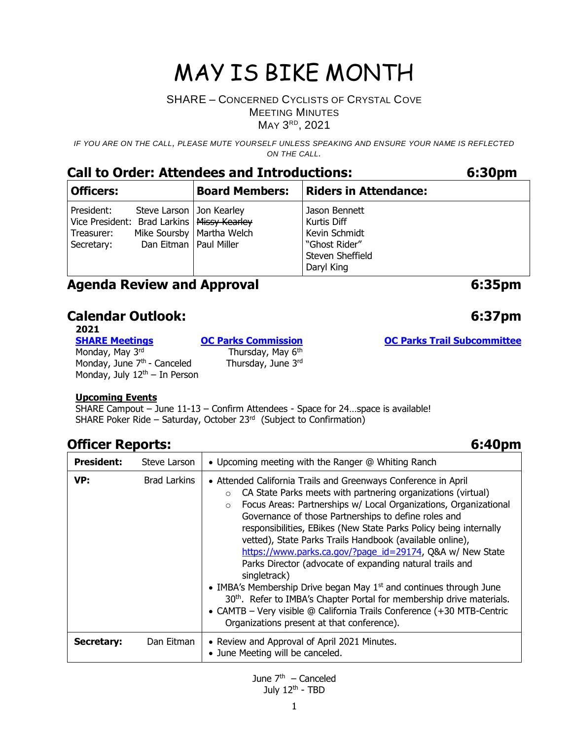#### SHARE – CONCERNED CYCLISTS OF CRYSTAL COVE MEETING MINUTES MAY 3<sup>RD</sup>, 2021

*IF YOU ARE ON THE CALL, PLEASE MUTE YOURSELF UNLESS SPEAKING AND ENSURE YOUR NAME IS REFLECTED ON THE CALL.*

### **Call to Order: Attendees and Introductions: 6:30pm**

| <b>Officers:</b>                                                                       |                          | <b>Board Members:</b>                                     | <b>Riders in Attendance:</b>                                                                     |
|----------------------------------------------------------------------------------------|--------------------------|-----------------------------------------------------------|--------------------------------------------------------------------------------------------------|
| President:<br>Vice President: Brad Larkins   Missy Kearley<br>Treasurer:<br>Secretary: | Dan Eitman   Paul Miller | Steve Larson   Jon Kearley<br>Mike Soursby   Martha Welch | Jason Bennett<br>Kurtis Diff<br>Kevin Schmidt<br>"Ghost Rider"<br>Steven Sheffield<br>Daryl King |

### **Agenda Review and Approval 6:35pm**

### **Calendar Outlook: 6:37pm**

**2021** Monday, May 3<sup>rd</sup> Thursday, May 6<sup>th</sup> Monday, June  $7<sup>th</sup>$  - Canceled Monday, July  $12<sup>th</sup> - In Person$ 

**[OC Parks Commission](https://www.ocparks.com/about/commission/agenda) [OC Parks Trail Subcommittee](https://www.ocparks.com/parks/trails/meetings)** Thursday, June 3rd

#### **Upcoming Events**

SHARE Campout – June 11-13 – Confirm Attendees - Space for 24…space is available! SHARE Poker Ride – Saturday, October 23<sup>rd</sup> (Subject to Confirmation)

### **Officer Reports: 6:40pm**

| <b>President:</b> | Steve Larson | • Upcoming meeting with the Ranger @ Whiting Ranch                                                                                                                                                                                                                                                                                                                                                                                                                                                                                                                                                                                                                                                                                                                                                                                                        |
|-------------------|--------------|-----------------------------------------------------------------------------------------------------------------------------------------------------------------------------------------------------------------------------------------------------------------------------------------------------------------------------------------------------------------------------------------------------------------------------------------------------------------------------------------------------------------------------------------------------------------------------------------------------------------------------------------------------------------------------------------------------------------------------------------------------------------------------------------------------------------------------------------------------------|
| VP:               | Brad Larkins | • Attended California Trails and Greenways Conference in April<br>CA State Parks meets with partnering organizations (virtual)<br>$\circ$<br>Focus Areas: Partnerships w/ Local Organizations, Organizational<br>$\circ$<br>Governance of those Partnerships to define roles and<br>responsibilities, EBikes (New State Parks Policy being internally<br>vetted), State Parks Trails Handbook (available online),<br>https://www.parks.ca.gov/?page_id=29174, Q&A w/ New State<br>Parks Director (advocate of expanding natural trails and<br>singletrack)<br>• IMBA's Membership Drive began May 1 <sup>st</sup> and continues through June<br>30 <sup>th</sup> . Refer to IMBA's Chapter Portal for membership drive materials.<br>• CAMTB - Very visible @ California Trails Conference (+30 MTB-Centric<br>Organizations present at that conference). |
| Secretary:        | Dan Eitman   | • Review and Approval of April 2021 Minutes.<br>• June Meeting will be canceled.                                                                                                                                                                                                                                                                                                                                                                                                                                                                                                                                                                                                                                                                                                                                                                          |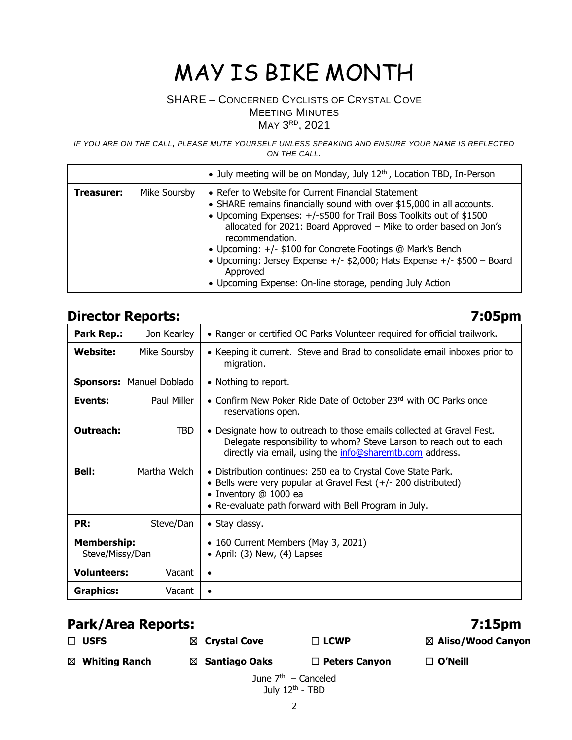### SHARE – CONCERNED CYCLISTS OF CRYSTAL COVE MEETING MINUTES MAY 3<sup>RD</sup>, 2021

*IF YOU ARE ON THE CALL, PLEASE MUTE YOURSELF UNLESS SPEAKING AND ENSURE YOUR NAME IS REFLECTED ON THE CALL.*

|            |              | • July meeting will be on Monday, July $12th$ , Location TBD, In-Person                                                                                                                                                                                                                                                                                                                                                                                                                                       |
|------------|--------------|---------------------------------------------------------------------------------------------------------------------------------------------------------------------------------------------------------------------------------------------------------------------------------------------------------------------------------------------------------------------------------------------------------------------------------------------------------------------------------------------------------------|
| Treasurer: | Mike Soursby | • Refer to Website for Current Financial Statement<br>• SHARE remains financially sound with over \$15,000 in all accounts.<br>• Upcoming Expenses: +/-\$500 for Trail Boss Toolkits out of \$1500<br>allocated for 2021: Board Approved - Mike to order based on Jon's<br>recommendation.<br>• Upcoming: +/- \$100 for Concrete Footings @ Mark's Bench<br>• Upcoming: Jersey Expense +/- $$2,000$ ; Hats Expense +/- $$500 - Board$<br>Approved<br>• Upcoming Expense: On-line storage, pending July Action |

# **Director Reports: 7:05pm**

| Park Rep.:                            | Jon Kearley                     | • Ranger or certified OC Parks Volunteer required for official trailwork.                                                                                                                                        |  |
|---------------------------------------|---------------------------------|------------------------------------------------------------------------------------------------------------------------------------------------------------------------------------------------------------------|--|
| Website:                              | Mike Soursby                    | • Keeping it current. Steve and Brad to consolidate email inboxes prior to<br>migration.                                                                                                                         |  |
|                                       | <b>Sponsors: Manuel Doblado</b> | • Nothing to report.                                                                                                                                                                                             |  |
| Events:                               | Paul Miller                     | • Confirm New Poker Ride Date of October 23 <sup>rd</sup> with OC Parks once<br>reservations open.                                                                                                               |  |
| <b>Outreach:</b>                      | <b>TBD</b>                      | • Designate how to outreach to those emails collected at Gravel Fest.<br>Delegate responsibility to whom? Steve Larson to reach out to each<br>directly via email, using the info@sharemtb.com address.          |  |
| <b>Bell:</b>                          | Martha Welch                    | • Distribution continues: 250 ea to Crystal Cove State Park.<br>• Bells were very popular at Gravel Fest (+/- 200 distributed)<br>• Inventory @ 1000 ea<br>• Re-evaluate path forward with Bell Program in July. |  |
| PR:                                   | Steve/Dan                       | • Stay classy.                                                                                                                                                                                                   |  |
| <b>Membership:</b><br>Steve/Missy/Dan |                                 | • 160 Current Members (May 3, 2021)<br>• April: $(3)$ New, $(4)$ Lapses                                                                                                                                          |  |
| <b>Volunteers:</b>                    | Vacant                          | $\bullet$                                                                                                                                                                                                        |  |
| <b>Graphics:</b>                      | Vacant                          |                                                                                                                                                                                                                  |  |

# **Park/Area Reports: 7:15pm**

| $\Box$ USFS                                          | ⊠ Crystal Cove  | $\Box$ LCWP          | $\boxtimes$ Aliso/Wood Canyon |  |  |
|------------------------------------------------------|-----------------|----------------------|-------------------------------|--|--|
| $\boxtimes$ Whiting Ranch                            | ⊠ Santiago Oaks | $\Box$ Peters Canyon | $\Box$ O'Neill                |  |  |
| June $7th$ – Canceled<br>July $12^{\text{th}}$ - TBD |                 |                      |                               |  |  |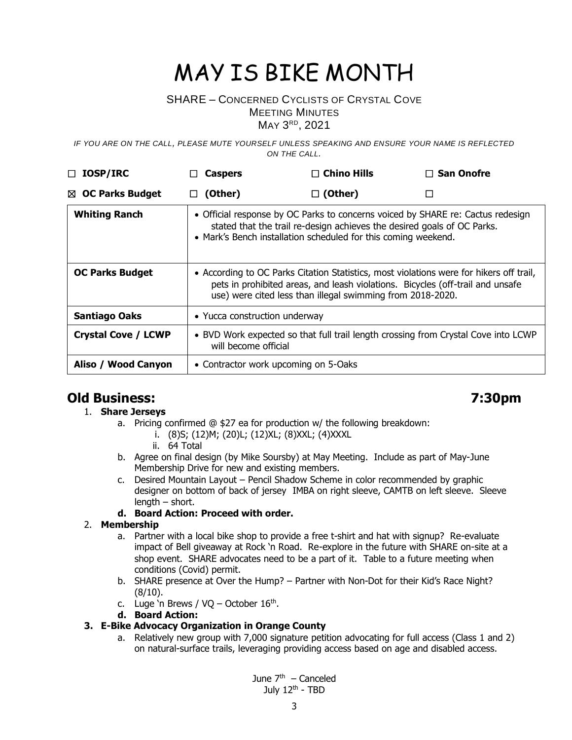### SHARE – CONCERNED CYCLISTS OF CRYSTAL COVE

MEETING MINUTES

MAY 3<sup>RD</sup>, 2021

*IF YOU ARE ON THE CALL, PLEASE MUTE YOURSELF UNLESS SPEAKING AND ENSURE YOUR NAME IS REFLECTED ON THE CALL.*

| <b>IOSP/IRC</b><br>□       | <b>Caspers</b>                                                                                                                                                                                                                          | $\Box$ Chino Hills | $\Box$ San Onofre |
|----------------------------|-----------------------------------------------------------------------------------------------------------------------------------------------------------------------------------------------------------------------------------------|--------------------|-------------------|
| ⊠ OC Parks Budget          | (Other)<br>ப                                                                                                                                                                                                                            | $\Box$ (Other)     | П                 |
| <b>Whiting Ranch</b>       | • Official response by OC Parks to concerns voiced by SHARE re: Cactus redesign<br>stated that the trail re-design achieves the desired goals of OC Parks.<br>• Mark's Bench installation scheduled for this coming weekend.            |                    |                   |
| <b>OC Parks Budget</b>     | • According to OC Parks Citation Statistics, most violations were for hikers off trail,<br>pets in prohibited areas, and leash violations. Bicycles (off-trail and unsafe<br>use) were cited less than illegal swimming from 2018-2020. |                    |                   |
| <b>Santiago Oaks</b>       | • Yucca construction underway                                                                                                                                                                                                           |                    |                   |
| <b>Crystal Cove / LCWP</b> | • BVD Work expected so that full trail length crossing from Crystal Cove into LCWP<br>will become official                                                                                                                              |                    |                   |
| Aliso / Wood Canyon        | • Contractor work upcoming on 5-Oaks                                                                                                                                                                                                    |                    |                   |

### **Old Business: 7:30pm**

### 1. **Share Jerseys**

- a. Pricing confirmed @ \$27 ea for production w/ the following breakdown:
	- i. (8)S; (12)M; (20)L; (12)XL; (8)XXL; (4)XXXL
	- ii. 64 Total
- b. Agree on final design (by Mike Soursby) at May Meeting. Include as part of May-June Membership Drive for new and existing members.
- c. Desired Mountain Layout Pencil Shadow Scheme in color recommended by graphic designer on bottom of back of jersey IMBA on right sleeve, CAMTB on left sleeve. Sleeve  $l$ ength – short.

#### **d. Board Action: Proceed with order.**

#### 2. **Membership**

- a. Partner with a local bike shop to provide a free t-shirt and hat with signup? Re-evaluate impact of Bell giveaway at Rock 'n Road. Re-explore in the future with SHARE on-site at a shop event. SHARE advocates need to be a part of it. Table to a future meeting when conditions (Covid) permit.
- b. SHARE presence at Over the Hump? Partner with Non-Dot for their Kid's Race Night? (8/10).
- c. Luge 'n Brews /  $VQ October 16<sup>th</sup>$ .
- **d. Board Action:**

### **3. E-Bike Advocacy Organization in Orange County**

a. Relatively new group with 7,000 signature petition advocating for full access (Class 1 and 2) on natural-surface trails, leveraging providing access based on age and disabled access.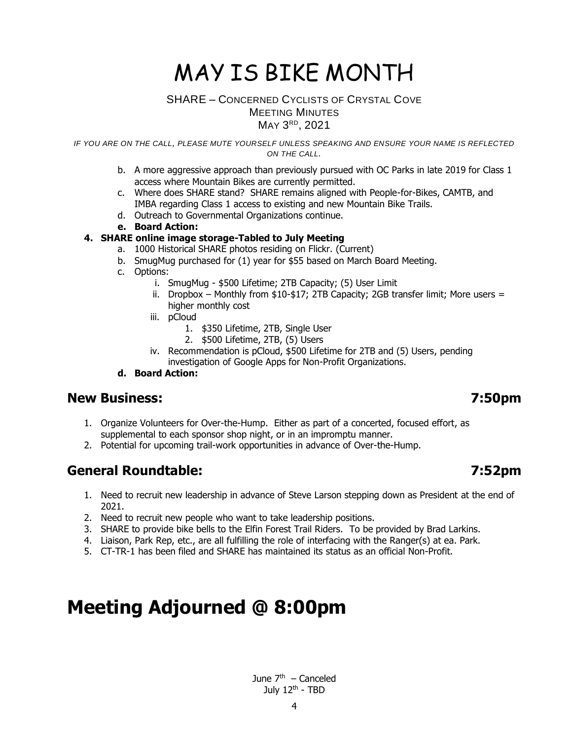#### SHARE – CONCERNED CYCLISTS OF CRYSTAL COVE MEETING MINUTES MAY 3<sup>RD</sup>, 2021

*IF YOU ARE ON THE CALL, PLEASE MUTE YOURSELF UNLESS SPEAKING AND ENSURE YOUR NAME IS REFLECTED ON THE CALL.*

- b. A more aggressive approach than previously pursued with OC Parks in late 2019 for Class 1 access where Mountain Bikes are currently permitted.
- c. Where does SHARE stand? SHARE remains aligned with People-for-Bikes, CAMTB, and IMBA regarding Class 1 access to existing and new Mountain Bike Trails.
- d. Outreach to Governmental Organizations continue.
- **e. Board Action:**

#### **4. SHARE online image storage-Tabled to July Meeting**

- a. 1000 Historical SHARE photos residing on Flickr. (Current)
- b. SmugMug purchased for (1) year for \$55 based on March Board Meeting.
- c. Options:
	- i. SmugMug \$500 Lifetime; 2TB Capacity; (5) User Limit
	- ii. Dropbox Monthly from  $$10$ - $$17$ ; 2TB Capacity; 2GB transfer limit; More users = higher monthly cost
	- iii. pCloud
		- 1. \$350 Lifetime, 2TB, Single User
		- 2. \$500 Lifetime, 2TB, (5) Users
	- iv. Recommendation is pCloud, \$500 Lifetime for 2TB and (5) Users, pending investigation of Google Apps for Non-Profit Organizations.
- **d. Board Action:**

### **New Business: 7:50pm**

- 1. Organize Volunteers for Over-the-Hump. Either as part of a concerted, focused effort, as supplemental to each sponsor shop night, or in an impromptu manner.
- 2. Potential for upcoming trail-work opportunities in advance of Over-the-Hump.

### **General Roundtable: 7:52pm**

- 1. Need to recruit new leadership in advance of Steve Larson stepping down as President at the end of 2021.
- 2. Need to recruit new people who want to take leadership positions.
- 3. SHARE to provide bike bells to the Elfin Forest Trail Riders. To be provided by Brad Larkins.
- 4. Liaison, Park Rep, etc., are all fulfilling the role of interfacing with the Ranger(s) at ea. Park.
- 5. CT-TR-1 has been filed and SHARE has maintained its status as an official Non-Profit.

# **Meeting Adjourned @ 8:00pm**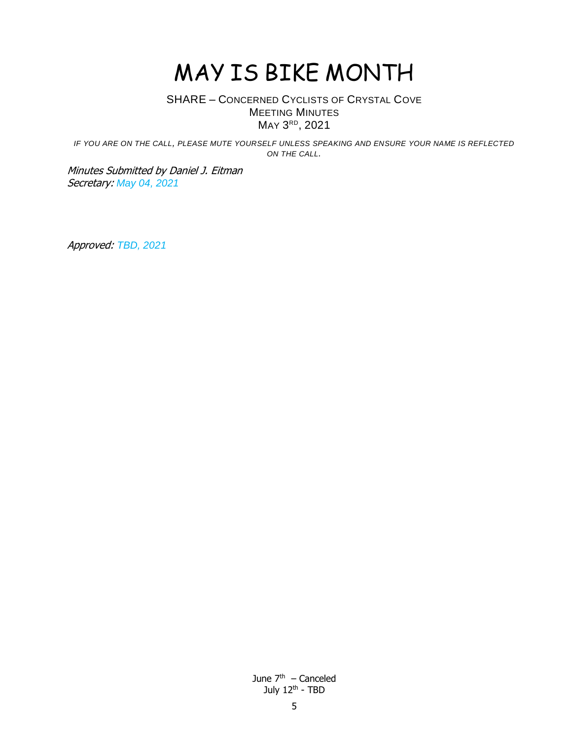### SHARE – CONCERNED CYCLISTS OF CRYSTAL COVE MEETING MINUTES MAY 3<sup>RD</sup>, 2021

*IF YOU ARE ON THE CALL, PLEASE MUTE YOURSELF UNLESS SPEAKING AND ENSURE YOUR NAME IS REFLECTED ON THE CALL.*

Minutes Submitted by Daniel J. Eitman Secretary: *May 04, 2021*

Approved: *TBD, 2021*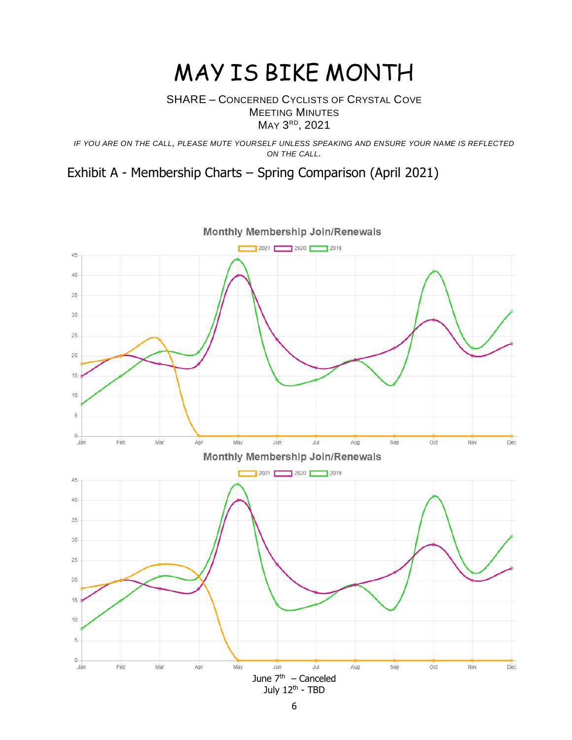### SHARE – CONCERNED CYCLISTS OF CRYSTAL COVE MEETING MINUTES MAY 3<sup>RD</sup>, 2021

*IF YOU ARE ON THE CALL, PLEASE MUTE YOURSELF UNLESS SPEAKING AND ENSURE YOUR NAME IS REFLECTED ON THE CALL.*

# Exhibit A - Membership Charts – Spring Comparison (April 2021)